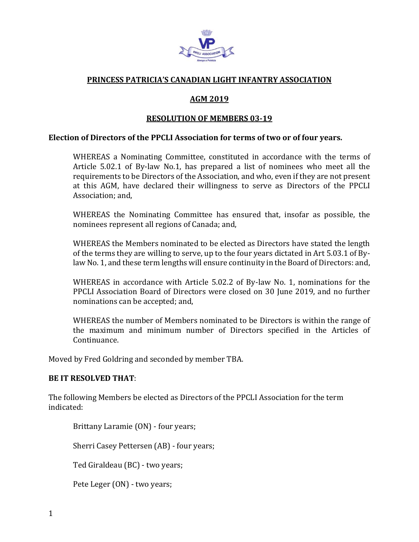

# **PRINCESS PATRICIA'S CANADIAN LIGHT INFANTRY ASSOCIATION**

# **AGM 2019**

## **RESOLUTION OF MEMBERS 03-19**

#### **Election of Directors of the PPCLI Association for terms of two or of four years.**

WHEREAS a Nominating Committee, constituted in accordance with the terms of Article 5.02.1 of By-law No.1, has prepared a list of nominees who meet all the requirements to be Directors of the Association, and who, even if they are not present at this AGM, have declared their willingness to serve as Directors of the PPCLI Association; and,

WHEREAS the Nominating Committee has ensured that, insofar as possible, the nominees represent all regions of Canada; and,

WHEREAS the Members nominated to be elected as Directors have stated the length of the terms they are willing to serve, up to the four years dictated in Art 5.03.1 of Bylaw No. 1, and these term lengths will ensure continuity in the Board of Directors: and,

WHEREAS in accordance with Article 5.02.2 of By-law No. 1, nominations for the PPCLI Association Board of Directors were closed on 30 June 2019, and no further nominations can be accepted; and,

WHEREAS the number of Members nominated to be Directors is within the range of the maximum and minimum number of Directors specified in the Articles of Continuance.

Moved by Fred Goldring and seconded by member TBA.

### **BE IT RESOLVED THAT**:

The following Members be elected as Directors of the PPCLI Association for the term indicated:

Brittany Laramie (ON) - four years;

Sherri Casey Pettersen (AB) - four years;

Ted Giraldeau (BC) - two years;

Pete Leger (ON) - two years;